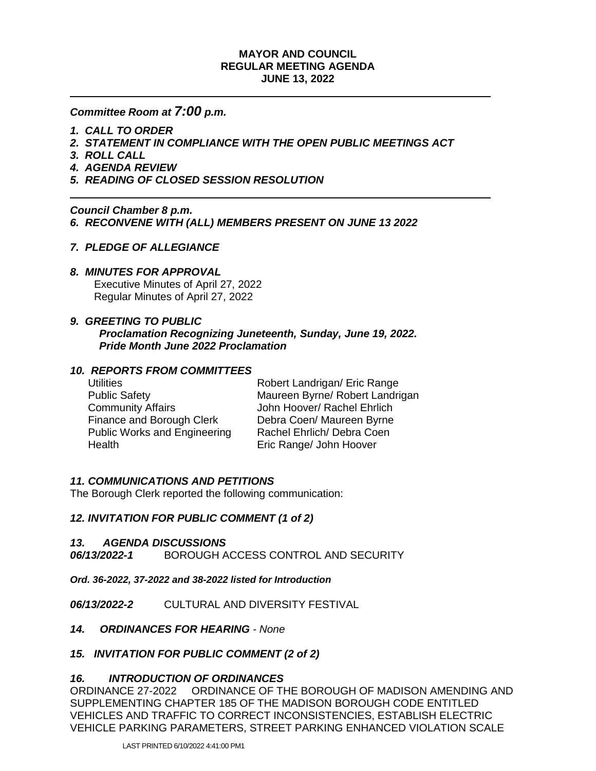### **MAYOR AND COUNCIL REGULAR MEETING AGENDA JUNE 13, 2022**

## *Committee Room at 7:00 p.m.*

- *1. CALL TO ORDER*
- *2. STATEMENT IN COMPLIANCE WITH THE OPEN PUBLIC MEETINGS ACT*
- *3. ROLL CALL*
- *4. AGENDA REVIEW*
- *5. READING OF CLOSED SESSION RESOLUTION*

### *Council Chamber 8 p.m. 6. RECONVENE WITH (ALL) MEMBERS PRESENT ON JUNE 13 2022*

# *7. PLEDGE OF ALLEGIANCE*

### *8. MINUTES FOR APPROVAL*

 Executive Minutes of April 27, 2022 Regular Minutes of April 27, 2022

# *9. GREETING TO PUBLIC*

*Proclamation Recognizing Juneteenth, Sunday, June 19, 2022. Pride Month June 2022 Proclamation*

### *10. REPORTS FROM COMMITTEES*

Utilities **Robert Landrigan/ Eric Range** Public Safety Maureen Byrne/ Robert Landrigan Community Affairs John Hoover/ Rachel Ehrlich Finance and Borough Clerk Debra Coen/ Maureen Byrne Public Works and Engineering Rachel Ehrlich/ Debra Coen Health Eric Range/ John Hoover

### *11. COMMUNICATIONS AND PETITIONS*

The Borough Clerk reported the following communication:

# *12. INVITATION FOR PUBLIC COMMENT (1 of 2)*

#### *13. AGENDA DISCUSSIONS*

*06/13/2022-1*BOROUGH ACCESS CONTROL AND SECURITY

*Ord. 36-2022, 37-2022 and 38-2022 listed for Introduction*

*06/13/2022-2*CULTURAL AND DIVERSITY FESTIVAL

#### *14. ORDINANCES FOR HEARING - None*

#### *15. INVITATION FOR PUBLIC COMMENT (2 of 2)*

#### *16. INTRODUCTION OF ORDINANCES*

ORDINANCE 27-2022 ORDINANCE OF THE BOROUGH OF MADISON AMENDING AND SUPPLEMENTING CHAPTER 185 OF THE MADISON BOROUGH CODE ENTITLED VEHICLES AND TRAFFIC TO CORRECT INCONSISTENCIES, ESTABLISH ELECTRIC VEHICLE PARKING PARAMETERS, STREET PARKING ENHANCED VIOLATION SCALE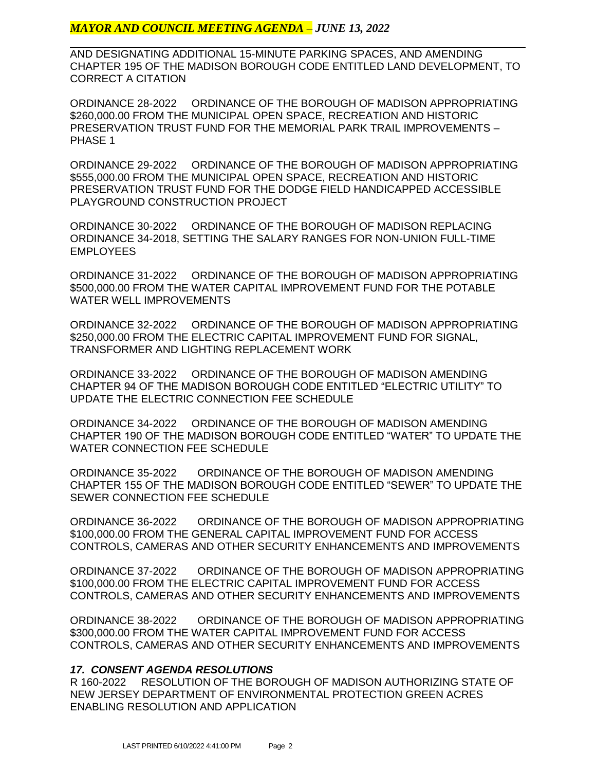# *MAYOR AND COUNCIL MEETING AGENDA – JUNE 13, 2022*

AND DESIGNATING ADDITIONAL 15-MINUTE PARKING SPACES, AND AMENDING CHAPTER 195 OF THE MADISON BOROUGH CODE ENTITLED LAND DEVELOPMENT, TO CORRECT A CITATION

ORDINANCE 28-2022 ORDINANCE OF THE BOROUGH OF MADISON APPROPRIATING \$260,000.00 FROM THE MUNICIPAL OPEN SPACE, RECREATION AND HISTORIC PRESERVATION TRUST FUND FOR THE MEMORIAL PARK TRAIL IMPROVEMENTS – PHASE 1

ORDINANCE 29-2022 ORDINANCE OF THE BOROUGH OF MADISON APPROPRIATING \$555,000.00 FROM THE MUNICIPAL OPEN SPACE, RECREATION AND HISTORIC PRESERVATION TRUST FUND FOR THE DODGE FIELD HANDICAPPED ACCESSIBLE PLAYGROUND CONSTRUCTION PROJECT

ORDINANCE 30-2022 ORDINANCE OF THE BOROUGH OF MADISON REPLACING ORDINANCE 34-2018, SETTING THE SALARY RANGES FOR NON-UNION FULL-TIME EMPLOYEES

ORDINANCE 31-2022 ORDINANCE OF THE BOROUGH OF MADISON APPROPRIATING \$500,000.00 FROM THE WATER CAPITAL IMPROVEMENT FUND FOR THE POTABLE WATER WELL IMPROVEMENTS

ORDINANCE 32-2022 ORDINANCE OF THE BOROUGH OF MADISON APPROPRIATING \$250,000.00 FROM THE ELECTRIC CAPITAL IMPROVEMENT FUND FOR SIGNAL, TRANSFORMER AND LIGHTING REPLACEMENT WORK

ORDINANCE 33-2022 ORDINANCE OF THE BOROUGH OF MADISON AMENDING CHAPTER 94 OF THE MADISON BOROUGH CODE ENTITLED "ELECTRIC UTILITY" TO UPDATE THE ELECTRIC CONNECTION FEE SCHEDULE

ORDINANCE 34-2022 ORDINANCE OF THE BOROUGH OF MADISON AMENDING CHAPTER 190 OF THE MADISON BOROUGH CODE ENTITLED "WATER" TO UPDATE THE WATER CONNECTION FEE SCHEDULE

ORDINANCE 35-2022 ORDINANCE OF THE BOROUGH OF MADISON AMENDING CHAPTER 155 OF THE MADISON BOROUGH CODE ENTITLED "SEWER" TO UPDATE THE SEWER CONNECTION FEE SCHEDULE

ORDINANCE 36-2022 ORDINANCE OF THE BOROUGH OF MADISON APPROPRIATING \$100,000.00 FROM THE GENERAL CAPITAL IMPROVEMENT FUND FOR ACCESS CONTROLS, CAMERAS AND OTHER SECURITY ENHANCEMENTS AND IMPROVEMENTS

ORDINANCE 37-2022 ORDINANCE OF THE BOROUGH OF MADISON APPROPRIATING \$100,000.00 FROM THE ELECTRIC CAPITAL IMPROVEMENT FUND FOR ACCESS CONTROLS, CAMERAS AND OTHER SECURITY ENHANCEMENTS AND IMPROVEMENTS

ORDINANCE 38-2022 ORDINANCE OF THE BOROUGH OF MADISON APPROPRIATING \$300,000.00 FROM THE WATER CAPITAL IMPROVEMENT FUND FOR ACCESS CONTROLS, CAMERAS AND OTHER SECURITY ENHANCEMENTS AND IMPROVEMENTS

#### *17. CONSENT AGENDA RESOLUTIONS*

R 160-2022 RESOLUTION OF THE BOROUGH OF MADISON AUTHORIZING STATE OF NEW JERSEY DEPARTMENT OF ENVIRONMENTAL PROTECTION GREEN ACRES ENABLING RESOLUTION AND APPLICATION